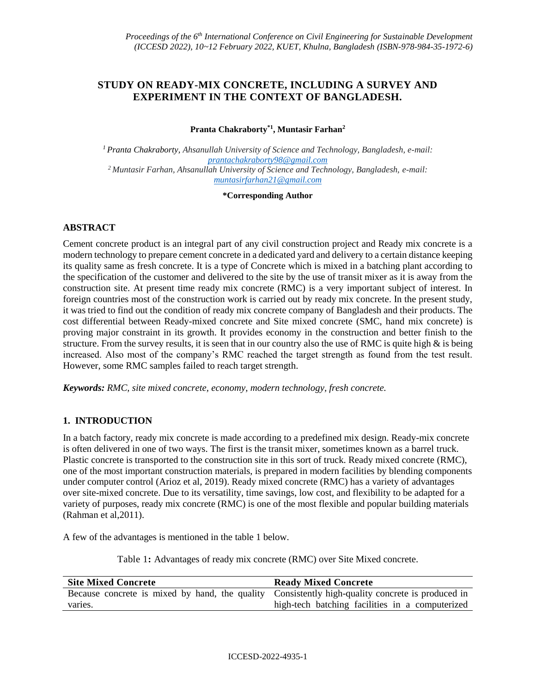## **STUDY ON READY-MIX CONCRETE, INCLUDING A SURVEY AND EXPERIMENT IN THE CONTEXT OF BANGLADESH.**

**Pranta Chakraborty\*1, Muntasir Farhan<sup>2</sup>**

*<sup>1</sup>Pranta Chakraborty, Ahsanullah University of Science and Technology, Bangladesh, e-mail: [prantachakraborty98@gmail.com](mailto:prantachakraborty98@gmail.com) <sup>2</sup>Muntasir Farhan, Ahsanullah University of Science and Technology, Bangladesh, e-mail: [muntasirfarhan21@gmail.com](mailto:muntasirfarhan21@gmail.com)*

**\*Corresponding Author**

### **ABSTRACT**

Cement concrete product is an integral part of any civil construction project and Ready mix concrete is a modern technology to prepare cement concrete in a dedicated yard and delivery to a certain distance keeping its quality same as fresh concrete. It is a type of Concrete which is mixed in a batching plant according to the specification of the customer and delivered to the site by the use of transit mixer as it is away from the construction site. At present time ready mix concrete (RMC) is a very important subject of interest. In foreign countries most of the construction work is carried out by ready mix concrete. In the present study, it was tried to find out the condition of ready mix concrete company of Bangladesh and their products. The cost differential between Ready-mixed concrete and Site mixed concrete (SMC, hand mix concrete) is proving major constraint in its growth. It provides economy in the construction and better finish to the structure. From the survey results, it is seen that in our country also the use of RMC is quite high & is being increased. Also most of the company's RMC reached the target strength as found from the test result. However, some RMC samples failed to reach target strength.

*Keywords: RMC, site mixed concrete, economy, modern technology, fresh concrete.*

## **1. INTRODUCTION**

In a batch factory, ready mix concrete is made according to a predefined mix design. Ready-mix concrete is often delivered in one of two ways. The first is the transit mixer, sometimes known as a barrel truck. Plastic concrete is transported to the construction site in this sort of truck. Ready mixed concrete (RMC), one of the most important construction materials, is prepared in modern facilities by blending components under computer control (Arioz et al, 2019). Ready mixed concrete (RMC) has a variety of advantages over site-mixed concrete. Due to its versatility, time savings, low cost, and flexibility to be adapted for a variety of purposes, ready mix concrete (RMC) is one of the most flexible and popular building materials (Rahman et al,2011).

A few of the advantages is mentioned in the table 1 below.

Table 1**:** Advantages of ready mix concrete (RMC) over Site Mixed concrete.

| <b>Site Mixed Concrete</b>                                                                       | <b>Ready Mixed Concrete</b>                     |
|--------------------------------------------------------------------------------------------------|-------------------------------------------------|
| Because concrete is mixed by hand, the quality Consistently high-quality concrete is produced in |                                                 |
| varies.                                                                                          | high-tech batching facilities in a computerized |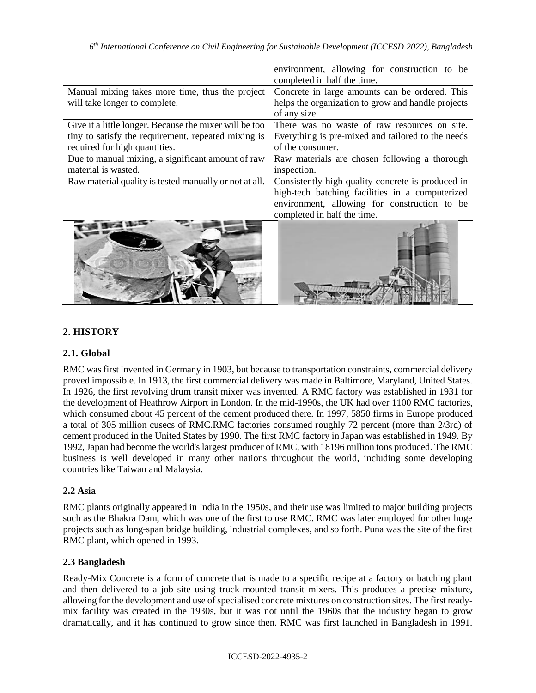|                                                                                                                                                | environment, allowing for construction to be<br>completed in half the time.                                                                                                         |
|------------------------------------------------------------------------------------------------------------------------------------------------|-------------------------------------------------------------------------------------------------------------------------------------------------------------------------------------|
| Manual mixing takes more time, thus the project<br>will take longer to complete.                                                               | Concrete in large amounts can be ordered. This<br>helps the organization to grow and handle projects<br>of any size.                                                                |
| Give it a little longer. Because the mixer will be too<br>tiny to satisfy the requirement, repeated mixing is<br>required for high quantities. | There was no waste of raw resources on site.<br>Everything is pre-mixed and tailored to the needs<br>of the consumer.                                                               |
| Due to manual mixing, a significant amount of raw<br>material is wasted.                                                                       | Raw materials are chosen following a thorough<br>inspection.                                                                                                                        |
| Raw material quality is tested manually or not at all.                                                                                         | Consistently high-quality concrete is produced in<br>high-tech batching facilities in a computerized<br>environment, allowing for construction to be<br>completed in half the time. |
|                                                                                                                                                |                                                                                                                                                                                     |

## **2. HISTORY**

#### **2.1. Global**

 $\overline{a}$ 

RMC was first invented in Germany in 1903, but because to transportation constraints, commercial delivery proved impossible. In 1913, the first commercial delivery was made in Baltimore, Maryland, United States. In 1926, the first revolving drum transit mixer was invented. A RMC factory was established in 1931 for the development of Heathrow Airport in London. In the mid-1990s, the UK had over 1100 RMC factories, which consumed about 45 percent of the cement produced there. In 1997, 5850 firms in Europe produced a total of 305 million cusecs of RMC.RMC factories consumed roughly 72 percent (more than 2/3rd) of cement produced in the United States by 1990. The first RMC factory in Japan was established in 1949. By 1992, Japan had become the world's largest producer of RMC, with 18196 million tons produced. The RMC business is well developed in many other nations throughout the world, including some developing countries like Taiwan and Malaysia.

### **2.2 Asia**

RMC plants originally appeared in India in the 1950s, and their use was limited to major building projects such as the Bhakra Dam, which was one of the first to use RMC. RMC was later employed for other huge projects such as long-span bridge building, industrial complexes, and so forth. Puna was the site of the first RMC plant, which opened in 1993.

#### **2.3 Bangladesh**

Ready-Mix Concrete is a form of concrete that is made to a specific recipe at a factory or batching plant and then delivered to a job site using truck-mounted transit mixers. This produces a precise mixture, allowing for the development and use of specialised concrete mixtures on construction sites. The first readymix facility was created in the 1930s, but it was not until the 1960s that the industry began to grow dramatically, and it has continued to grow since then. RMC was first launched in Bangladesh in 1991.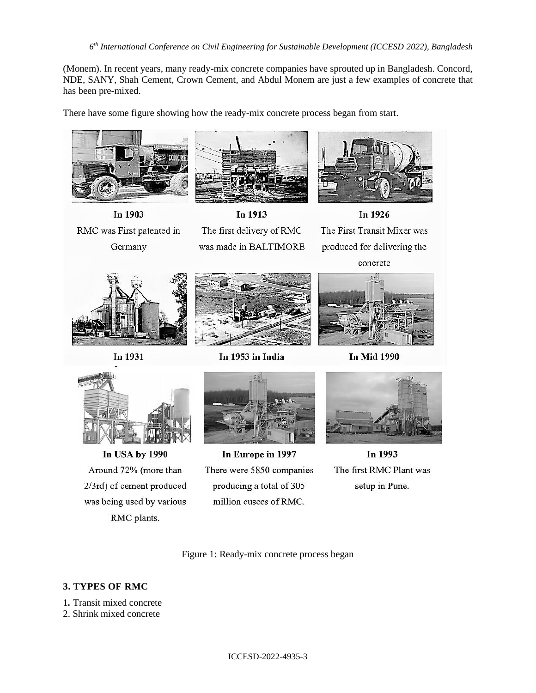*6 th International Conference on Civil Engineering for Sustainable Development (ICCESD 2022), Bangladesh*

(Monem). In recent years, many ready-mix concrete companies have sprouted up in Bangladesh. Concord, NDE, SANY, Shah Cement, Crown Cement, and Abdul Monem are just a few examples of concrete that has been pre-mixed.

There have some figure showing how the ready-mix concrete process began from start.





Germany



In 1913 The first delivery of RMC was made in BALTIMORE



In 1926 The First Transit Mixer was produced for delivering the concrete



In 1931



In 1953 in India



**In Mid 1990** 



In USA by 1990 Around 72% (more than 2/3rd) of cement produced was being used by various RMC plants.



In Europe in 1997 There were 5850 companies producing a total of 305 million cusecs of RMC.



In 1993 The first RMC Plant was setup in Pune.

Figure 1: Ready-mix concrete process began

## **3. TYPES OF RMC**

- 1*.* Transit mixed concrete
- 2. Shrink mixed concrete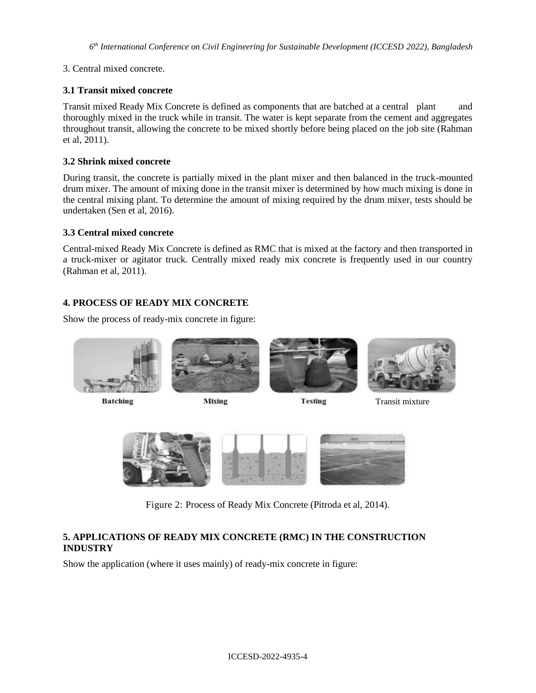### 3. Central mixed concrete.

### **3.1 Transit mixed concrete**

Transit mixed Ready Mix Concrete is defined as components that are batched at a central plant and thoroughly mixed in the truck while in transit. The water is kept separate from the cement and aggregates throughout transit, allowing the concrete to be mixed shortly before being placed on the job site (Rahman et al, 2011).

### **3.2 Shrink mixed concrete**

During transit, the concrete is partially mixed in the plant mixer and then balanced in the truck-mounted drum mixer. The amount of mixing done in the transit mixer is determined by how much mixing is done in the central mixing plant. To determine the amount of mixing required by the drum mixer, tests should be undertaken (Sen et al, 2016).

### **3.3 Central mixed concrete**

Central-mixed Ready Mix Concrete is defined as RMC that is mixed at the factory and then transported in a truck-mixer or agitator truck. Centrally mixed ready mix concrete is frequently used in our country (Rahman et al, 2011).

### **4. PROCESS OF READY MIX CONCRETE**

Show the process of ready-mix concrete in figure:



**Batching** 



**Mixing** 





Transit mixture



Figure 2: Process of Ready Mix Concrete (Pitroda et al, 2014).

## **5. APPLICATIONS OF READY MIX CONCRETE (RMC) IN THE CONSTRUCTION INDUSTRY**

Show the application (where it uses mainly) of ready-mix concrete in figure: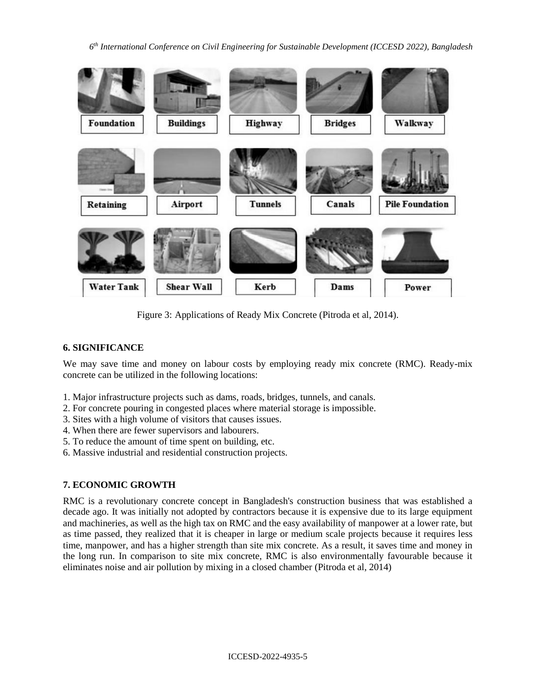*6 th International Conference on Civil Engineering for Sustainable Development (ICCESD 2022), Bangladesh*



Figure 3: Applications of Ready Mix Concrete (Pitroda et al, 2014).

## **6. SIGNIFICANCE**

We may save time and money on labour costs by employing ready mix concrete (RMC). Ready-mix concrete can be utilized in the following locations:

- 1. Major infrastructure projects such as dams, roads, bridges, tunnels, and canals.
- 2. For concrete pouring in congested places where material storage is impossible.
- 3. Sites with a high volume of visitors that causes issues.
- 4. When there are fewer supervisors and labourers.
- 5. To reduce the amount of time spent on building, etc.
- 6. Massive industrial and residential construction projects.

### **7. ECONOMIC GROWTH**

RMC is a revolutionary concrete concept in Bangladesh's construction business that was established a decade ago. It was initially not adopted by contractors because it is expensive due to its large equipment and machineries, as well as the high tax on RMC and the easy availability of manpower at a lower rate, but as time passed, they realized that it is cheaper in large or medium scale projects because it requires less time, manpower, and has a higher strength than site mix concrete. As a result, it saves time and money in the long run. In comparison to site mix concrete, RMC is also environmentally favourable because it eliminates noise and air pollution by mixing in a closed chamber (Pitroda et al, 2014)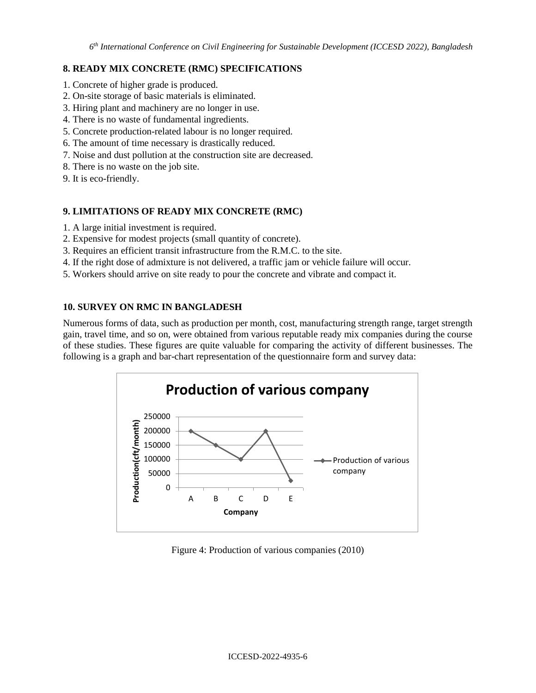### **8. READY MIX CONCRETE (RMC) SPECIFICATIONS**

- 1. Concrete of higher grade is produced.
- 2. On-site storage of basic materials is eliminated.
- 3. Hiring plant and machinery are no longer in use.
- 4. There is no waste of fundamental ingredients.
- 5. Concrete production-related labour is no longer required.
- 6. The amount of time necessary is drastically reduced.
- 7. Noise and dust pollution at the construction site are decreased.
- 8. There is no waste on the job site.
- 9. It is eco-friendly.

## **9. LIMITATIONS OF READY MIX CONCRETE (RMC)**

- 1. A large initial investment is required.
- 2. Expensive for modest projects (small quantity of concrete).
- 3. Requires an efficient transit infrastructure from the R.M.C. to the site.
- 4. If the right dose of admixture is not delivered, a traffic jam or vehicle failure will occur.
- 5. Workers should arrive on site ready to pour the concrete and vibrate and compact it.

### **10. SURVEY ON RMC IN BANGLADESH**

Numerous forms of data, such as production per month, cost, manufacturing strength range, target strength gain, travel time, and so on, were obtained from various reputable ready mix companies during the course of these studies. These figures are quite valuable for comparing the activity of different businesses. The following is a graph and bar-chart representation of the questionnaire form and survey data:



Figure 4: Production of various companies (2010)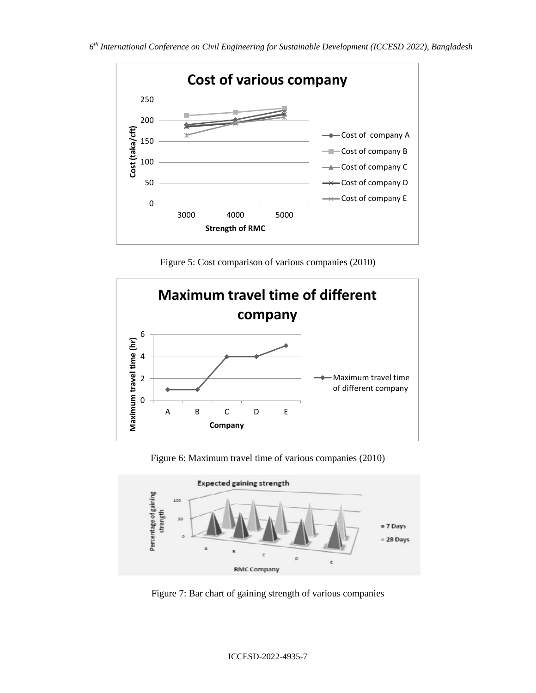

Figure 5: Cost comparison of various companies (2010)



Figure 6: Maximum travel time of various companies (2010)



Figure 7: Bar chart of gaining strength of various companies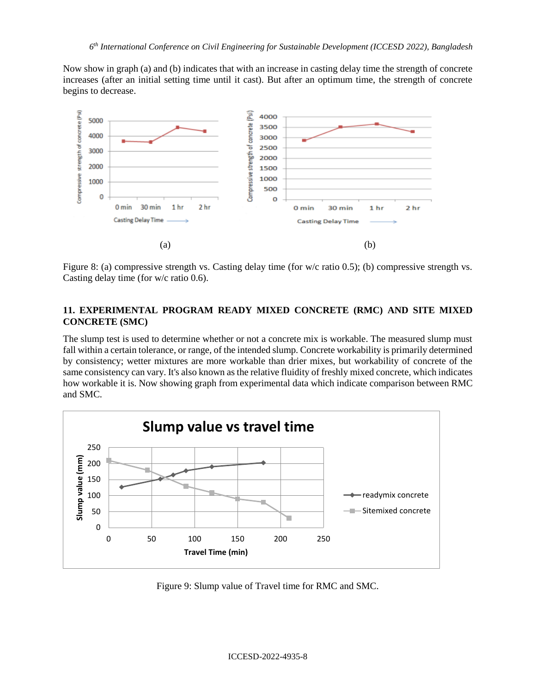Now show in graph (a) and (b) indicates that with an increase in casting delay time the strength of concrete increases (after an initial setting time until it cast). But after an optimum time, the strength of concrete begins to decrease.



Figure 8: (a) compressive strength vs. Casting delay time (for w/c ratio 0.5); (b) compressive strength vs. Casting delay time (for w/c ratio 0.6).

## **11. EXPERIMENTAL PROGRAM READY MIXED CONCRETE (RMC) AND SITE MIXED CONCRETE (SMC)**

The slump test is used to determine whether or not a concrete mix is workable. The measured slump must fall within a certain tolerance, or range, of the intended slump. Concrete workability is primarily determined by consistency; wetter mixtures are more workable than drier mixes, but workability of concrete of the same consistency can vary. It's also known as the relative fluidity of freshly mixed concrete, which indicates how workable it is. Now showing graph from experimental data which indicate comparison between RMC and SMC.



Figure 9: Slump value of Travel time for RMC and SMC.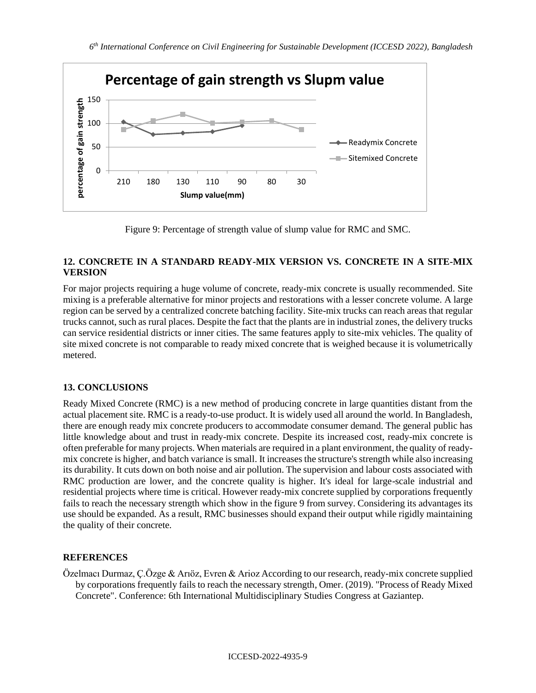

Figure 9: Percentage of strength value of slump value for RMC and SMC.

### **12. CONCRETE IN A STANDARD READY-MIX VERSION VS. CONCRETE IN A SITE-MIX VERSION**

For major projects requiring a huge volume of concrete, ready-mix concrete is usually recommended. Site mixing is a preferable alternative for minor projects and restorations with a lesser concrete volume. A large region can be served by a centralized concrete batching facility. Site-mix trucks can reach areas that regular trucks cannot, such as rural places. Despite the fact that the plants are in industrial zones, the delivery trucks can service residential districts or inner cities. The same features apply to site-mix vehicles. The quality of site mixed concrete is not comparable to ready mixed concrete that is weighed because it is volumetrically metered.

# **13. CONCLUSIONS**

Ready Mixed Concrete (RMC) is a new method of producing concrete in large quantities distant from the actual placement site. RMC is a ready-to-use product. It is widely used all around the world. In Bangladesh, there are enough ready mix concrete producers to accommodate consumer demand. The general public has little knowledge about and trust in ready-mix concrete. Despite its increased cost, ready-mix concrete is often preferable for many projects. When materials are required in a plant environment, the quality of readymix concrete is higher, and batch variance is small. It increases the structure's strength while also increasing its durability. It cuts down on both noise and air pollution. The supervision and labour costs associated with RMC production are lower, and the concrete quality is higher. It's ideal for large-scale industrial and residential projects where time is critical. However ready-mix concrete supplied by corporations frequently fails to reach the necessary strength which show in the figure 9 from survey. Considering its advantages its use should be expanded. As a result, RMC businesses should expand their output while rigidly maintaining the quality of their concrete.

## **REFERENCES**

Özelmacı Durmaz, Ç.Özge & Arıöz, Evren & Arioz According to our research, ready-mix concrete supplied by corporations frequently fails to reach the necessary strength, Omer. (2019). "Process of Ready Mixed Concrete". Conference: 6th International Multidisciplinary Studies Congress at Gaziantep.